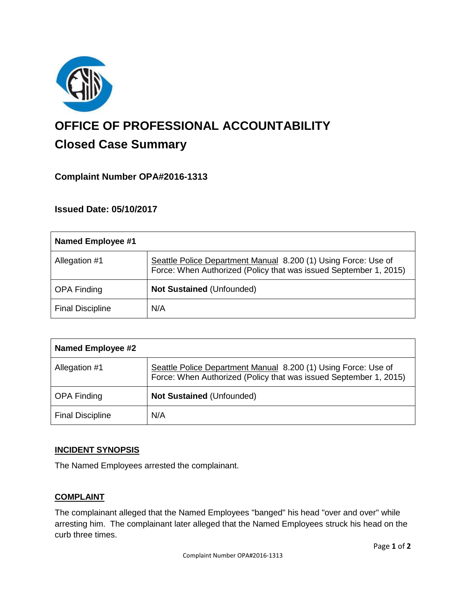

# **OFFICE OF PROFESSIONAL ACCOUNTABILITY Closed Case Summary**

# **Complaint Number OPA#2016-1313**

# **Issued Date: 05/10/2017**

| Named Employee #1       |                                                                                                                                     |
|-------------------------|-------------------------------------------------------------------------------------------------------------------------------------|
| Allegation #1           | Seattle Police Department Manual 8.200 (1) Using Force: Use of<br>Force: When Authorized (Policy that was issued September 1, 2015) |
| <b>OPA Finding</b>      | <b>Not Sustained (Unfounded)</b>                                                                                                    |
| <b>Final Discipline</b> | N/A                                                                                                                                 |

| Named Employee #2       |                                                                                                                                     |
|-------------------------|-------------------------------------------------------------------------------------------------------------------------------------|
| Allegation #1           | Seattle Police Department Manual 8.200 (1) Using Force: Use of<br>Force: When Authorized (Policy that was issued September 1, 2015) |
| <b>OPA Finding</b>      | <b>Not Sustained (Unfounded)</b>                                                                                                    |
| <b>Final Discipline</b> | N/A                                                                                                                                 |

#### **INCIDENT SYNOPSIS**

The Named Employees arrested the complainant.

#### **COMPLAINT**

The complainant alleged that the Named Employees "banged" his head "over and over" while arresting him. The complainant later alleged that the Named Employees struck his head on the curb three times.